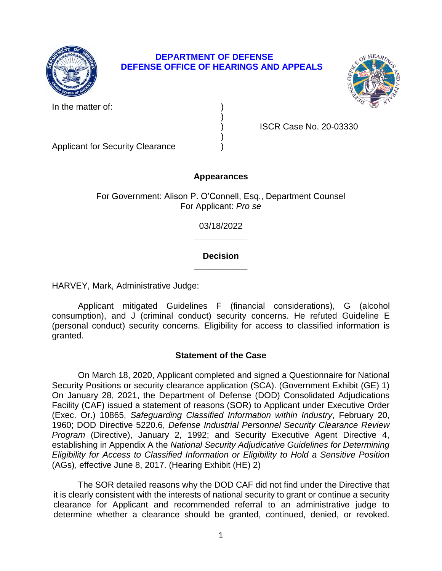

# **DEPARTMENT OF DEFENSE DEFENSE OFFICE OF HEARINGS AND APPEALS**

)

)



In the matter of:

) ISCR Case No. 20-03330

Applicant for Security Clearance )

# **Appearances**

For Government: Alison P. O'Connell, Esq., Department Counsel For Applicant: *Pro se* 

> **\_\_\_\_\_\_\_\_\_\_\_**  03/18/2022

# **\_\_\_\_\_\_\_\_\_\_\_ Decision**

HARVEY, Mark, Administrative Judge:

 consumption), and J (criminal conduct) security concerns. He refuted Guideline E (personal conduct) security concerns. Eligibility for access to classified information is Applicant mitigated Guidelines F (financial considerations), G (alcohol granted.

# **Statement of the Case**

 Security Positions or security clearance application (SCA). (Government Exhibit (GE) 1) On January 28, 2021, the Department of Defense (DOD) Consolidated Adjudications Facility (CAF) issued a statement of reasons (SOR) to Applicant under Executive Order  (Exec. Or.) 10865, *Safeguarding Classified Information within Industry*, February 20, *Program* (Directive), January 2, 1992; and Security Executive Agent Directive 4,  *Eligibility for Access to Classified Information or Eligibility to Hold a Sensitive Position*  On March 18, 2020, Applicant completed and signed a Questionnaire for National 1960; DOD Directive 5220.6, *Defense Industrial Personnel Security Clearance Review*  establishing in Appendix A the *National Security Adjudicative Guidelines for Determining*  (AGs), effective June 8, 2017. (Hearing Exhibit (HE) 2)

 The SOR detailed reasons why the DOD CAF did not find under the Directive that it is clearly consistent with the interests of national security to grant or continue a security clearance for Applicant and recommended referral to an administrative judge to determine whether a clearance should be granted, continued, denied, or revoked.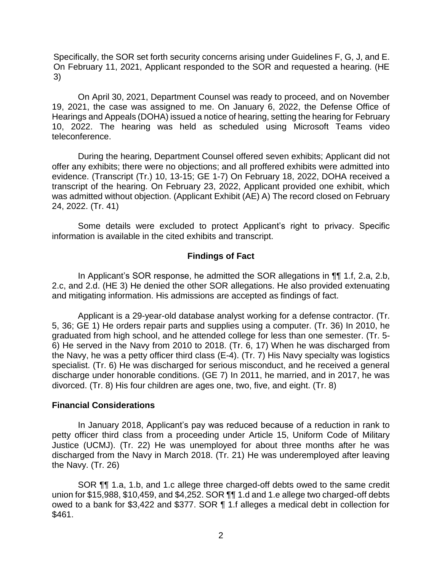On February 11, 2021, Applicant responded to the SOR and requested a hearing. (HE Specifically, the SOR set forth security concerns arising under Guidelines F, G, J, and E. 3)

 On April 30, 2021, Department Counsel was ready to proceed, and on November 19, 2021, the case was assigned to me. On January 6, 2022, the Defense Office of Hearings and Appeals (DOHA) issued a notice of hearing, setting the hearing for February 10, 2022. The hearing was held as scheduled using Microsoft Teams video teleconference.

 During the hearing, Department Counsel offered seven exhibits; Applicant did not offer any exhibits; there were no objections; and all proffered exhibits were admitted into evidence. (Transcript (Tr.) 10, 13-15; GE 1-7) On February 18, 2022, DOHA received a transcript of the hearing. On February 23, 2022, Applicant provided one exhibit, which was admitted without objection. (Applicant Exhibit (AE) A) The record closed on February 24, 2022. (Tr. 41)

 Some details were excluded to protect Applicant's right to privacy. Specific information is available in the cited exhibits and transcript.

## **Findings of Fact**

 2.c, and 2.d. (HE 3) He denied the other SOR allegations. He also provided extenuating and mitigating information. His admissions are accepted as findings of fact. In Applicant's SOR response, he admitted the SOR allegations in ¶¶ 1.f, 2.a, 2.b,

Applicant is a 29-year-old database analyst working for a defense contractor. (Tr. 5, 36; GE 1) He orders repair parts and supplies using a computer. (Tr. 36) In 2010, he graduated from high school, and he attended college for less than one semester. (Tr. 5- 6) He served in the Navy from 2010 to 2018. (Tr. 6, 17) When he was discharged from the Navy, he was a petty officer third class (E-4). (Tr. 7) His Navy specialty was logistics specialist. (Tr. 6) He was discharged for serious misconduct, and he received a general discharge under honorable conditions. (GE 7) In 2011, he married, and in 2017, he was divorced. (Tr. 8) His four children are ages one, two, five, and eight. (Tr. 8)

### **Financial Considerations**

 In January 2018, Applicant's pay was reduced because of a reduction in rank to petty officer third class from a proceeding under Article 15, Uniform Code of Military Justice (UCMJ). (Tr. 22) He was unemployed for about three months after he was discharged from the Navy in March 2018. (Tr. 21) He was underemployed after leaving the Navy. (Tr. 26)

 SOR ¶¶ 1.a, 1.b, and 1.c allege three charged-off debts owed to the same credit union for \$15,988, \$10,459, and \$4,252. SOR ¶¶ 1.d and 1.e allege two charged-off debts owed to a bank for \$3,422 and \$377. SOR ¶ 1.f alleges a medical debt in collection for \$461.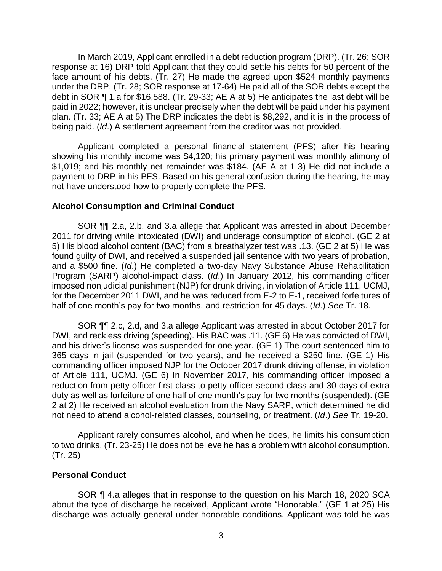In March 2019, Applicant enrolled in a debt reduction program (DRP). (Tr. 26; SOR response at 16) DRP told Applicant that they could settle his debts for 50 percent of the face amount of his debts. (Tr. 27) He made the agreed upon \$524 monthly payments under the DRP. (Tr. 28; SOR response at 17-64) He paid all of the SOR debts except the debt in SOR ¶ 1.a for \$16,588. (Tr. 29-33; AE A at 5) He anticipates the last debt will be paid in 2022; however, it is unclear precisely when the debt will be paid under his payment plan. (Tr. 33; AE A at 5) The DRP indicates the debt is \$8,292, and it is in the process of being paid. (*Id*.) A settlement agreement from the creditor was not provided.

 Applicant completed a personal financial statement (PFS) after his hearing \$1,019; and his monthly net remainder was \$184. (AE A at 1-3) He did not include a payment to DRP in his PFS. Based on his general confusion during the hearing, he may showing his monthly income was \$4,120; his primary payment was monthly alimony of not have understood how to properly complete the PFS.

### **Alcohol Consumption and Criminal Conduct**

SOR ¶¶ 2.a, 2.b, and 3.a allege that Applicant was arrested in about December 2011 for driving while intoxicated (DWI) and underage consumption of alcohol. (GE 2 at 5) His blood alcohol content (BAC) from a breathalyzer test was .13. (GE 2 at 5) He was found guilty of DWI, and received a suspended jail sentence with two years of probation, and a \$500 fine. (*Id*.) He completed a two-day Navy Substance Abuse Rehabilitation Program (SARP) alcohol-impact class. (*Id*.) In January 2012, his commanding officer imposed nonjudicial punishment (NJP) for drunk driving, in violation of Article 111, UCMJ, for the December 2011 DWI, and he was reduced from E-2 to E-1, received forfeitures of half of one month's pay for two months, and restriction for 45 days. (*Id*.) *See* Tr. 18.

 SOR ¶¶ 2.c, 2.d, and 3.a allege Applicant was arrested in about October 2017 for DWI, and reckless driving (speeding). His BAC was .11. (GE 6) He was convicted of DWI, and his driver's license was suspended for one year. (GE 1) The court sentenced him to 365 days in jail (suspended for two years), and he received a \$250 fine. (GE 1) His of Article 111, UCMJ. (GE 6) In November 2017, his commanding officer imposed a reduction from petty officer first class to petty officer second class and 30 days of extra duty as well as forfeiture of one half of one month's pay for two months (suspended). (GE commanding officer imposed NJP for the October 2017 drunk driving offense, in violation 2 at 2) He received an alcohol evaluation from the Navy SARP, which determined he did not need to attend alcohol-related classes, counseling, or treatment. (*Id*.) *See* Tr. 19-20.

 Applicant rarely consumes alcohol, and when he does, he limits his consumption to two drinks. (Tr. 23-25) He does not believe he has a problem with alcohol consumption. (Tr. 25)

## **Personal Conduct**

 SOR ¶ 4.a alleges that in response to the question on his March 18, 2020 SCA about the type of discharge he received, Applicant wrote "Honorable." (GE 1 at 25) His discharge was actually general under honorable conditions. Applicant was told he was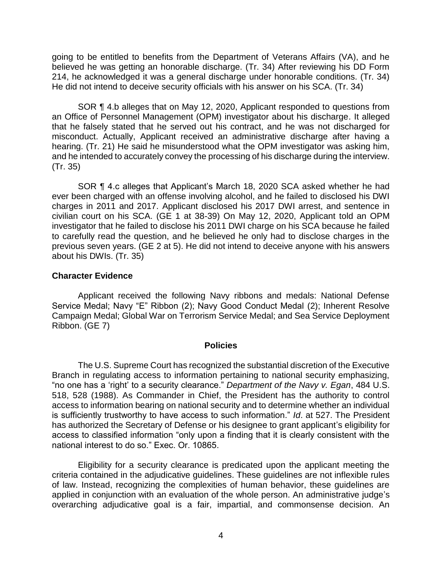going to be entitled to benefits from the Department of Veterans Affairs (VA), and he believed he was getting an honorable discharge. (Tr. 34) After reviewing his DD Form 214, he acknowledged it was a general discharge under honorable conditions. (Tr. 34) He did not intend to deceive security officials with his answer on his SCA. (Tr. 34)

SOR ¶ 4.b alleges that on May 12, 2020, Applicant responded to questions from an Office of Personnel Management (OPM) investigator about his discharge. It alleged that he falsely stated that he served out his contract, and he was not discharged for misconduct. Actually, Applicant received an administrative discharge after having a hearing. (Tr. 21) He said he misunderstood what the OPM investigator was asking him, and he intended to accurately convey the processing of his discharge during the interview. (Tr. 35)

 SOR ¶ 4.c alleges that Applicant's March 18, 2020 SCA asked whether he had ever been charged with an offense involving alcohol, and he failed to disclosed his DWI charges in 2011 and 2017. Applicant disclosed his 2017 DWI arrest, and sentence in civilian court on his SCA. (GE 1 at 38-39) On May 12, 2020, Applicant told an OPM investigator that he failed to disclose his 2011 DWI charge on his SCA because he failed to carefully read the question, and he believed he only had to disclose charges in the previous seven years. (GE 2 at 5). He did not intend to deceive anyone with his answers about his DWIs. (Tr. 35)

### **Character Evidence**

 Applicant received the following Navy ribbons and medals: National Defense Service Medal; Navy "E" Ribbon (2); Navy Good Conduct Medal (2); Inherent Resolve Campaign Medal; Global War on Terrorism Service Medal; and Sea Service Deployment Ribbon. (GE 7)

#### **Policies**

 The U.S. Supreme Court has recognized the substantial discretion of the Executive Branch in regulating access to information pertaining to national security emphasizing, "no one has a 'right' to a security clearance." *Department of the Navy v. Egan*, 484 U.S. 518, 528 (1988). As Commander in Chief, the President has the authority to control access to information bearing on national security and to determine whether an individual is sufficiently trustworthy to have access to such information." *Id*. at 527. The President has authorized the Secretary of Defense or his designee to grant applicant's eligibility for access to classified information "only upon a finding that it is clearly consistent with the national interest to do so." Exec. Or. 10865.

 Eligibility for a security clearance is predicated upon the applicant meeting the criteria contained in the adjudicative guidelines. These guidelines are not inflexible rules of law. Instead, recognizing the complexities of human behavior, these guidelines are applied in conjunction with an evaluation of the whole person. An administrative judge's overarching adjudicative goal is a fair, impartial, and commonsense decision. An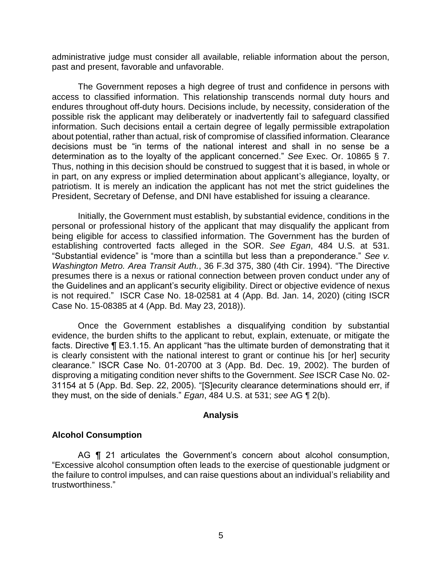administrative judge must consider all available, reliable information about the person, past and present, favorable and unfavorable.

 The Government reposes a high degree of trust and confidence in persons with access to classified information. This relationship transcends normal duty hours and endures throughout off-duty hours. Decisions include, by necessity, consideration of the possible risk the applicant may deliberately or inadvertently fail to safeguard classified information. Such decisions entail a certain degree of legally permissible extrapolation about potential, rather than actual, risk of compromise of classified information. Clearance decisions must be "in terms of the national interest and shall in no sense be a determination as to the loyalty of the applicant concerned." *See* Exec. Or. 10865 § 7. Thus, nothing in this decision should be construed to suggest that it is based, in whole or in part, on any express or implied determination about applicant's allegiance, loyalty, or patriotism. It is merely an indication the applicant has not met the strict guidelines the President, Secretary of Defense, and DNI have established for issuing a clearance.

 Initially, the Government must establish, by substantial evidence, conditions in the personal or professional history of the applicant that may disqualify the applicant from being eligible for access to classified information. The Government has the burden of establishing controverted facts alleged in the SOR. *See Egan*, 484 U.S. at 531. "Substantial evidence" is "more than a scintilla but less than a preponderance." *See v. Washington Metro. Area Transit Auth.*, 36 F.3d 375, 380 (4th Cir. 1994). "The Directive presumes there is a nexus or rational connection between proven conduct under any of the Guidelines and an applicant's security eligibility. Direct or objective evidence of nexus is not required." ISCR Case No. 18-02581 at 4 (App. Bd. Jan. 14, 2020) (citing ISCR Case No. 15-08385 at 4 (App. Bd. May 23, 2018)).

Once the Government establishes a disqualifying condition by substantial evidence, the burden shifts to the applicant to rebut, explain, extenuate, or mitigate the facts. Directive ¶ E3.1.15. An applicant "has the ultimate burden of demonstrating that it is clearly consistent with the national interest to grant or continue his [or her] security clearance." ISCR Case No. 01-20700 at 3 (App. Bd. Dec. 19, 2002). The burden of disproving a mitigating condition never shifts to the Government. *See* ISCR Case No. 02- 31154 at 5 (App. Bd. Sep. 22, 2005). "[S]ecurity clearance determinations should err, if they must, on the side of denials." *Egan*, 484 U.S. at 531; *see* AG ¶ 2(b).

### **Analysis**

### **Alcohol Consumption**

AG ¶ 21 articulates the Government's concern about alcohol consumption, "Excessive alcohol consumption often leads to the exercise of questionable judgment or the failure to control impulses, and can raise questions about an individual's reliability and trustworthiness."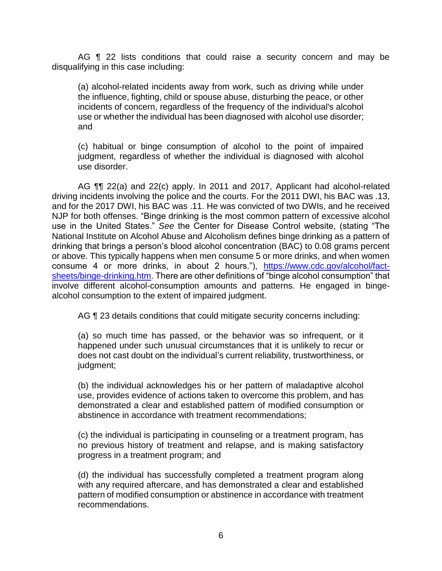AG **[1** 22 lists conditions that could raise a security concern and may be disqualifying in this case including:

(a) alcohol-related incidents away from work, such as driving while under the influence, fighting, child or spouse abuse, disturbing the peace, or other incidents of concern, regardless of the frequency of the individual's alcohol use or whether the individual has been diagnosed with alcohol use disorder; and

(c) habitual or binge consumption of alcohol to the point of impaired judgment, regardless of whether the individual is diagnosed with alcohol use disorder.

AG  $\P$  22(a) and 22(c) apply. In 2011 and 2017, Applicant had alcohol-related driving incidents involving the police and the courts. For the 2011 DWI, his BAC was .13, and for the 2017 DWI, his BAC was .11. He was convicted of two DWIs, and he received NJP for both offenses. "Binge drinking is the most common pattern of excessive alcohol use in the United States." *See* the Center for Disease Control website, (stating "The National Institute on Alcohol Abuse and Alcoholism defines binge drinking as a pattern of drinking that brings a person's blood alcohol concentration (BAC) to 0.08 grams percent or above. This typically happens when men consume 5 or more drinks, and when women consume 4 or more drinks, in about 2 hours."), [https://www.cdc.gov/alcohol/fact](https://www.cdc.gov/alcohol/fact-sheets/binge-drinking.htm)- sheets/binge-drinking.htm. There are other definitions of "binge alcohol consumption" that involve different alcohol-consumption amounts and patterns. He engaged in bingealcohol consumption to the extent of impaired judgment.

AG ¶ 23 details conditions that could mitigate security concerns including:

(a) so much time has passed, or the behavior was so infrequent, or it happened under such unusual circumstances that it is unlikely to recur or does not cast doubt on the individual's current reliability, trustworthiness, or judgment;

(b) the individual acknowledges his or her pattern of maladaptive alcohol use, provides evidence of actions taken to overcome this problem, and has demonstrated a clear and established pattern of modified consumption or abstinence in accordance with treatment recommendations;

(c) the individual is participating in counseling or a treatment program, has no previous history of treatment and relapse, and is making satisfactory progress in a treatment program; and

(d) the individual has successfully completed a treatment program along with any required aftercare, and has demonstrated a clear and established pattern of modified consumption or abstinence in accordance with treatment recommendations.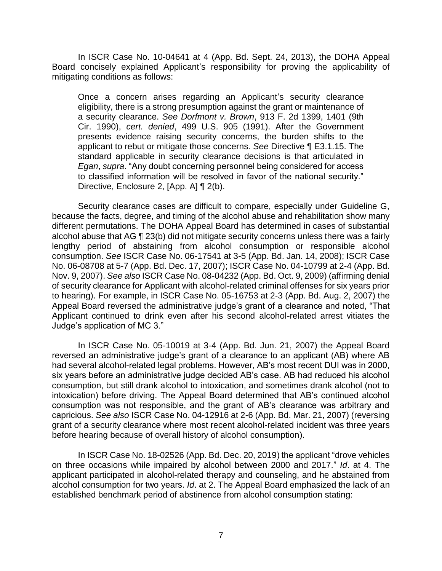In ISCR Case No. 10-04641 at 4 (App. Bd. Sept. 24, 2013), the DOHA Appeal Board concisely explained Applicant's responsibility for proving the applicability of mitigating conditions as follows:

Once a concern arises regarding an Applicant's security clearance eligibility, there is a strong presumption against the grant or maintenance of a security clearance. *See Dorfmont v. Brown*, 913 F. 2d 1399, 1401 (9th Cir. 1990), *cert. denied*, 499 U.S. 905 (1991). After the Government presents evidence raising security concerns, the burden shifts to the applicant to rebut or mitigate those concerns. *See* Directive ¶ E3.1.15. The standard applicable in security clearance decisions is that articulated in *Egan*, *supra*. "Any doubt concerning personnel being considered for access to classified information will be resolved in favor of the national security." Directive, Enclosure 2, [App. A] ¶ 2(b).

Security clearance cases are difficult to compare, especially under Guideline G, because the facts, degree, and timing of the alcohol abuse and rehabilitation show many different permutations. The DOHA Appeal Board has determined in cases of substantial alcohol abuse that AG ¶ 23(b) did not mitigate security concerns unless there was a fairly lengthy period of abstaining from alcohol consumption or responsible alcohol consumption. *See* ISCR Case No. 06-17541 at 3-5 (App. Bd. Jan. 14, 2008); ISCR Case No. 06-08708 at 5-7 (App. Bd. Dec. 17, 2007); ISCR Case No. 04-10799 at 2-4 (App. Bd. Nov. 9, 2007). *See also* ISCR Case No. 08-04232 (App. Bd. Oct. 9, 2009) (affirming denial of security clearance for Applicant with alcohol-related criminal offenses for six years prior to hearing). For example, in ISCR Case No. 05-16753 at 2-3 (App. Bd. Aug. 2, 2007) the Appeal Board reversed the administrative judge's grant of a clearance and noted, "That Applicant continued to drink even after his second alcohol-related arrest vitiates the Judge's application of MC 3."

In ISCR Case No. 05-10019 at 3-4 (App. Bd. Jun. 21, 2007) the Appeal Board reversed an administrative judge's grant of a clearance to an applicant (AB) where AB had several alcohol-related legal problems. However, AB's most recent DUI was in 2000, six years before an administrative judge decided AB's case. AB had reduced his alcohol consumption, but still drank alcohol to intoxication, and sometimes drank alcohol (not to intoxication) before driving. The Appeal Board determined that AB's continued alcohol consumption was not responsible, and the grant of AB's clearance was arbitrary and capricious. *See also* ISCR Case No. 04-12916 at 2-6 (App. Bd. Mar. 21, 2007) (reversing grant of a security clearance where most recent alcohol-related incident was three years before hearing because of overall history of alcohol consumption).

 In ISCR Case No. 18-02526 (App. Bd. Dec. 20, 2019) the applicant "drove vehicles on three occasions while impaired by alcohol between 2000 and 2017." *Id*. at 4. The applicant participated in alcohol-related therapy and counseling, and he abstained from alcohol consumption for two years. *Id*. at 2. The Appeal Board emphasized the lack of an established benchmark period of abstinence from alcohol consumption stating: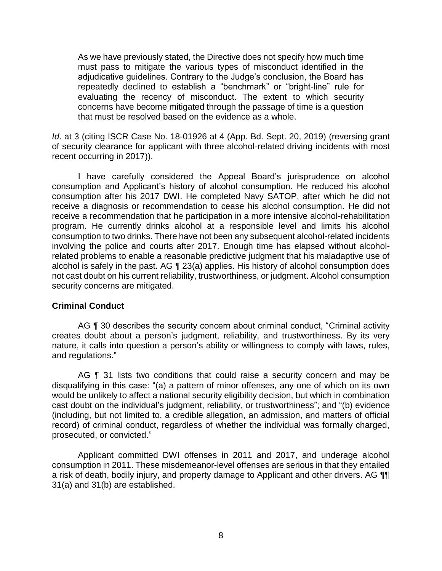As we have previously stated, the Directive does not specify how much time must pass to mitigate the various types of misconduct identified in the adjudicative guidelines. Contrary to the Judge's conclusion, the Board has repeatedly declined to establish a "benchmark" or "bright-line" rule for evaluating the recency of misconduct. The extent to which security concerns have become mitigated through the passage of time is a question that must be resolved based on the evidence as a whole.

 *Id*. at 3 (citing ISCR Case No. 18-01926 at 4 (App. Bd. Sept. 20, 2019) (reversing grant of security clearance for applicant with three alcohol-related driving incidents with most recent occurring in 2017)).

 I have carefully considered the Appeal Board's jurisprudence on alcohol consumption and Applicant's history of alcohol consumption. He reduced his alcohol consumption after his 2017 DWI. He completed Navy SATOP, after which he did not receive a diagnosis or recommendation to cease his alcohol consumption. He did not receive a recommendation that he participation in a more intensive alcohol-rehabilitation program. He currently drinks alcohol at a responsible level and limits his alcohol consumption to two drinks. There have not been any subsequent alcohol-related incidents involving the police and courts after 2017. Enough time has elapsed without alcohol- not cast doubt on his current reliability, trustworthiness, or judgment. Alcohol consumption related problems to enable a reasonable predictive judgment that his maladaptive use of alcohol is safely in the past. AG ¶ 23(a) applies. His history of alcohol consumption does security concerns are mitigated.

## **Criminal Conduct**

AG ¶ 30 describes the security concern about criminal conduct, "Criminal activity creates doubt about a person's judgment, reliability, and trustworthiness. By its very nature, it calls into question a person's ability or willingness to comply with laws, rules, and regulations."

AG ¶ 31 lists two conditions that could raise a security concern and may be disqualifying in this case: "(a) a pattern of minor offenses, any one of which on its own would be unlikely to affect a national security eligibility decision, but which in combination (including, but not limited to, a credible allegation, an admission, and matters of official record) of criminal conduct, regardless of whether the individual was formally charged, cast doubt on the individual's judgment, reliability, or trustworthiness"; and "(b) evidence prosecuted, or convicted."

 Applicant committed DWI offenses in 2011 and 2017, and underage alcohol consumption in 2011. These misdemeanor-level offenses are serious in that they entailed a risk of death, bodily injury, and property damage to Applicant and other drivers. AG  $\P$ 31(a) and 31(b) are established.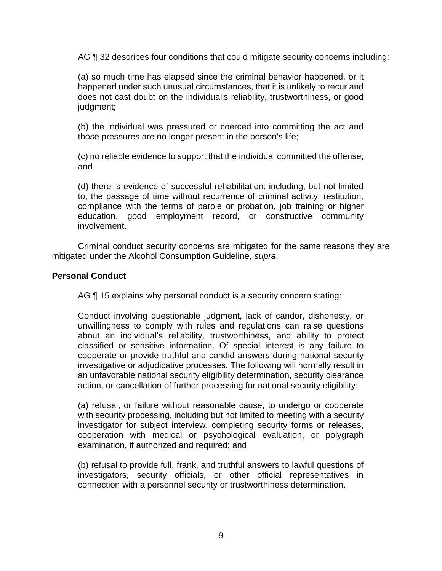AG ¶ 32 describes four conditions that could mitigate security concerns including:

(a) so much time has elapsed since the criminal behavior happened, or it happened under such unusual circumstances, that it is unlikely to recur and does not cast doubt on the individual's reliability, trustworthiness, or good judgment;

(b) the individual was pressured or coerced into committing the act and those pressures are no longer present in the person's life;

(c) no reliable evidence to support that the individual committed the offense; and

 (d) there is evidence of successful rehabilitation; including, but not limited to, the passage of time without recurrence of criminal activity, restitution, compliance with the terms of parole or probation, job training or higher education, good employment record, or constructive community involvement.

 Criminal conduct security concerns are mitigated for the same reasons they are mitigated under the Alcohol Consumption Guideline, *supra*.

### **Personal Conduct**

AG ¶ 15 explains why personal conduct is a security concern stating:

Conduct involving questionable judgment, lack of candor, dishonesty, or unwillingness to comply with rules and regulations can raise questions about an individual's reliability, trustworthiness, and ability to protect classified or sensitive information. Of special interest is any failure to cooperate or provide truthful and candid answers during national security investigative or adjudicative processes. The following will normally result in an unfavorable national security eligibility determination, security clearance action, or cancellation of further processing for national security eligibility:

(a) refusal, or failure without reasonable cause, to undergo or cooperate with security processing, including but not limited to meeting with a security investigator for subject interview, completing security forms or releases, cooperation with medical or psychological evaluation, or polygraph examination, if authorized and required; and

(b) refusal to provide full, frank, and truthful answers to lawful questions of investigators, security officials, or other official representatives in connection with a personnel security or trustworthiness determination.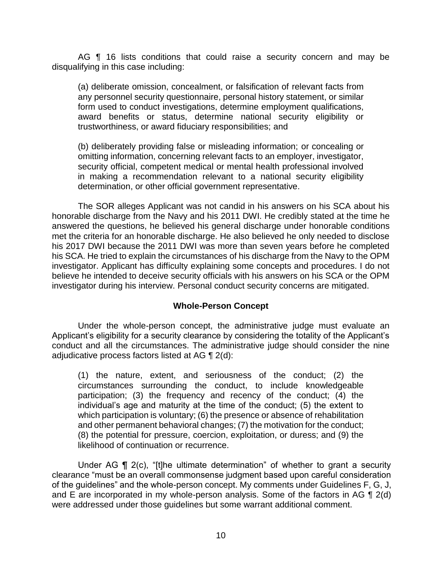AG **[1** 16 lists conditions that could raise a security concern and may be disqualifying in this case including:

(a) deliberate omission, concealment, or falsification of relevant facts from any personnel security questionnaire, personal history statement, or similar form used to conduct investigations, determine employment qualifications, award benefits or status, determine national security eligibility or trustworthiness, or award fiduciary responsibilities; and

(b) deliberately providing false or misleading information; or concealing or omitting information, concerning relevant facts to an employer, investigator, security official, competent medical or mental health professional involved in making a recommendation relevant to a national security eligibility determination, or other official government representative.

 The SOR alleges Applicant was not candid in his answers on his SCA about his honorable discharge from the Navy and his 2011 DWI. He credibly stated at the time he answered the questions, he believed his general discharge under honorable conditions met the criteria for an honorable discharge. He also believed he only needed to disclose his 2017 DWI because the 2011 DWI was more than seven years before he completed his SCA. He tried to explain the circumstances of his discharge from the Navy to the OPM investigator. Applicant has difficulty explaining some concepts and procedures. I do not believe he intended to deceive security officials with his answers on his SCA or the OPM investigator during his interview. Personal conduct security concerns are mitigated.

## **Whole-Person Concept**

Under the whole-person concept, the administrative judge must evaluate an Applicant's eligibility for a security clearance by considering the totality of the Applicant's conduct and all the circumstances. The administrative judge should consider the nine adjudicative process factors listed at AG ¶ 2(d):

(1) the nature, extent, and seriousness of the conduct; (2) the circumstances surrounding the conduct, to include knowledgeable participation; (3) the frequency and recency of the conduct; (4) the individual's age and maturity at the time of the conduct; (5) the extent to which participation is voluntary; (6) the presence or absence of rehabilitation and other permanent behavioral changes; (7) the motivation for the conduct; (8) the potential for pressure, coercion, exploitation, or duress; and (9) the likelihood of continuation or recurrence.

Under AG ¶ 2(c), "[t]he ultimate determination" of whether to grant a security clearance "must be an overall commonsense judgment based upon careful consideration of the guidelines" and the whole-person concept. My comments under Guidelines F, G, J, and E are incorporated in my whole-person analysis. Some of the factors in AG  $\P$  2(d) were addressed under those guidelines but some warrant additional comment.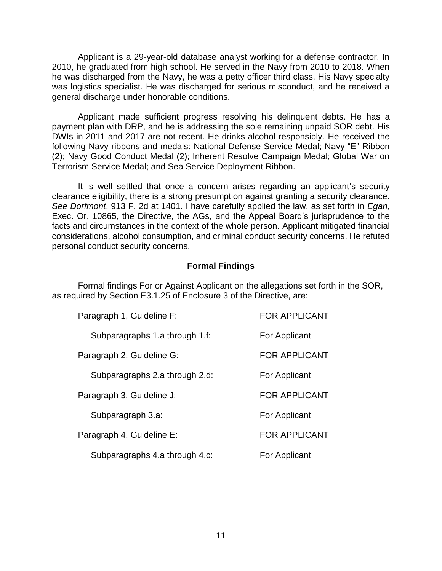Applicant is a 29-year-old database analyst working for a defense contractor. In 2010, he graduated from high school. He served in the Navy from 2010 to 2018. When he was discharged from the Navy, he was a petty officer third class. His Navy specialty was logistics specialist. He was discharged for serious misconduct, and he received a general discharge under honorable conditions.

 Applicant made sufficient progress resolving his delinquent debts. He has a payment plan with DRP, and he is addressing the sole remaining unpaid SOR debt. His DWIs in 2011 and 2017 are not recent. He drinks alcohol responsibly. He received the following Navy ribbons and medals: National Defense Service Medal; Navy "E" Ribbon (2); Navy Good Conduct Medal (2); Inherent Resolve Campaign Medal; Global War on Terrorism Service Medal; and Sea Service Deployment Ribbon.

 It is well settled that once a concern arises regarding an applicant's security clearance eligibility, there is a strong presumption against granting a security clearance. *See Dorfmont*, 913 F. 2d at 1401. I have carefully applied the law, as set forth in *Egan*, Exec. Or. 10865, the Directive, the AGs, and the Appeal Board's jurisprudence to the considerations, alcohol consumption, and criminal conduct security concerns. He refuted personal conduct security concerns. facts and circumstances in the context of the whole person. Applicant mitigated financial

### **Formal Findings**

 as required by Section E3.1.25 of Enclosure 3 of the Directive, are: Formal findings For or Against Applicant on the allegations set forth in the SOR,

| Paragraph 1, Guideline F:      | <b>FOR APPLICANT</b> |
|--------------------------------|----------------------|
| Subparagraphs 1.a through 1.f: | For Applicant        |
| Paragraph 2, Guideline G:      | <b>FOR APPLICANT</b> |
| Subparagraphs 2.a through 2.d: | For Applicant        |
| Paragraph 3, Guideline J:      | <b>FOR APPLICANT</b> |
| Subparagraph 3.a:              | For Applicant        |
| Paragraph 4, Guideline E:      | <b>FOR APPLICANT</b> |
| Subparagraphs 4.a through 4.c: | For Applicant        |